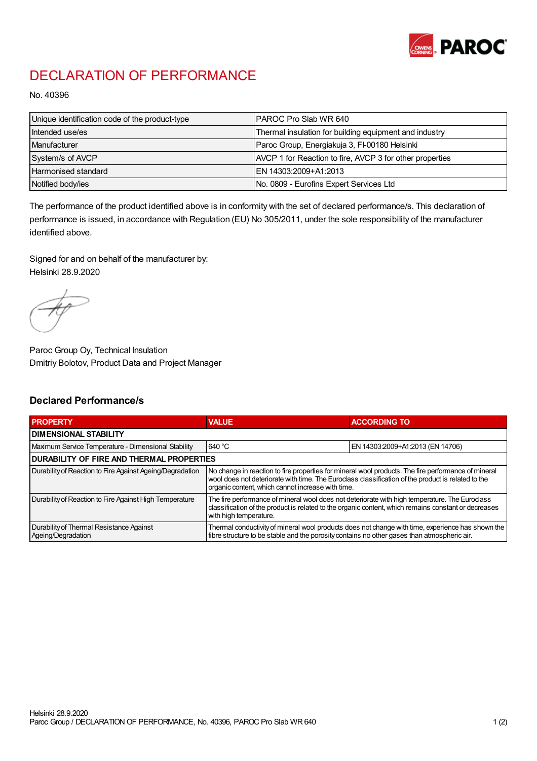

## DECLARATION OF PERFORMANCE

No. 40396

| Unique identification code of the product-type | IPAROC Pro Slab WR 640                                   |
|------------------------------------------------|----------------------------------------------------------|
| Intended use/es                                | Thermal insulation for building equipment and industry   |
| Manufacturer                                   | Paroc Group, Energiakuja 3, FI-00180 Helsinki            |
| System/s of AVCP                               | AVCP 1 for Reaction to fire, AVCP 3 for other properties |
| Harmonised standard                            | IEN 14303:2009+A1:2013                                   |
| Notified body/ies                              | No. 0809 - Eurofins Expert Services Ltd                  |

The performance of the product identified above is in conformity with the set of declared performance/s. This declaration of performance is issued, in accordance with Regulation (EU) No 305/2011, under the sole responsibility of the manufacturer identified above.

Signed for and on behalf of the manufacturer by: Helsinki 28.9.2020

Paroc Group Oy, Technical Insulation Dmitriy Bolotov, Product Data and Project Manager

## Declared Performance/s

| <b>PROPERTY</b>                                                | <b>VALUE</b>                                                                                                                                                                                                                                                   | <b>ACCORDING TO.</b>             |  |
|----------------------------------------------------------------|----------------------------------------------------------------------------------------------------------------------------------------------------------------------------------------------------------------------------------------------------------------|----------------------------------|--|
| <b>DIMENSIONAL STABILITY</b>                                   |                                                                                                                                                                                                                                                                |                                  |  |
| Maximum Service Temperature - Dimensional Stability            | 640 °C                                                                                                                                                                                                                                                         | EN 14303:2009+A1:2013 (EN 14706) |  |
| <b>DURABILITY OF FIRE AND THERMAL PROPERTIES</b>               |                                                                                                                                                                                                                                                                |                                  |  |
| Durability of Reaction to Fire Against Ageing/Degradation      | No change in reaction to fire properties for mineral wool products. The fire performance of mineral<br>wool does not deteriorate with time. The Euroclass classification of the product is related to the<br>organic content, which cannot increase with time. |                                  |  |
| Durability of Reaction to Fire Against High Temperature        | The fire performance of mineral wool does not deteriorate with high temperature. The Euroclass<br>classification of the product is related to the organic content, which remains constant or decreases<br>with high temperature.                               |                                  |  |
| Durability of Thermal Resistance Against<br>Ageing/Degradation | Thermal conductivity of mineral wool products does not change with time, experience has shown the<br>fibre structure to be stable and the porosity contains no other gases than atmospheric air.                                                               |                                  |  |